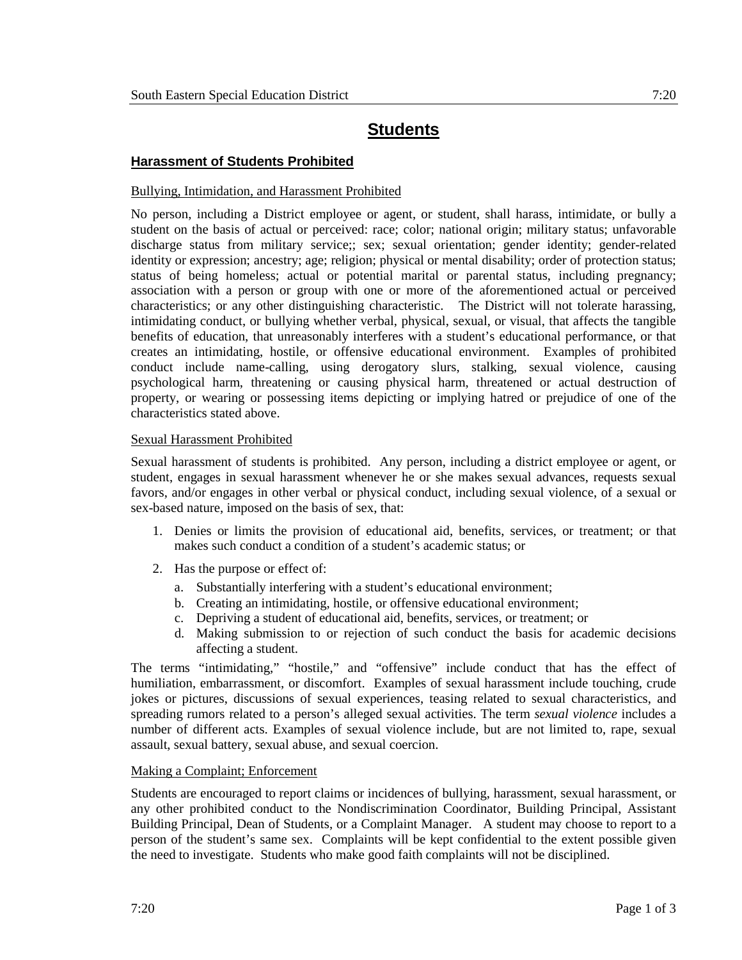# **Students**

## **Harassment of Students Prohibited**

### Bullying, Intimidation, and Harassment Prohibited

No person, including a District employee or agent, or student, shall harass, intimidate, or bully a student on the basis of actual or perceived: race; color; national origin; military status; unfavorable discharge status from military service;; sex; sexual orientation; gender identity; gender-related identity or expression; ancestry; age; religion; physical or mental disability; order of protection status; status of being homeless; actual or potential marital or parental status, including pregnancy; association with a person or group with one or more of the aforementioned actual or perceived characteristics; or any other distinguishing characteristic. The District will not tolerate harassing, intimidating conduct, or bullying whether verbal, physical, sexual, or visual, that affects the tangible benefits of education, that unreasonably interferes with a student's educational performance, or that creates an intimidating, hostile, or offensive educational environment. Examples of prohibited conduct include name-calling, using derogatory slurs, stalking, sexual violence, causing psychological harm, threatening or causing physical harm, threatened or actual destruction of property, or wearing or possessing items depicting or implying hatred or prejudice of one of the characteristics stated above.

### Sexual Harassment Prohibited

Sexual harassment of students is prohibited. Any person, including a district employee or agent, or student, engages in sexual harassment whenever he or she makes sexual advances, requests sexual favors, and/or engages in other verbal or physical conduct, including sexual violence, of a sexual or sex-based nature, imposed on the basis of sex, that:

- 1. Denies or limits the provision of educational aid, benefits, services, or treatment; or that makes such conduct a condition of a student's academic status; or
- 2. Has the purpose or effect of:
	- a. Substantially interfering with a student's educational environment;
	- b. Creating an intimidating, hostile, or offensive educational environment;
	- c. Depriving a student of educational aid, benefits, services, or treatment; or
	- d. Making submission to or rejection of such conduct the basis for academic decisions affecting a student.

The terms "intimidating," "hostile," and "offensive" include conduct that has the effect of humiliation, embarrassment, or discomfort. Examples of sexual harassment include touching, crude jokes or pictures, discussions of sexual experiences, teasing related to sexual characteristics, and spreading rumors related to a person's alleged sexual activities. The term *sexual violence* includes a number of different acts. Examples of sexual violence include, but are not limited to, rape, sexual assault, sexual battery, sexual abuse, and sexual coercion.

### Making a Complaint; Enforcement

Students are encouraged to report claims or incidences of bullying, harassment, sexual harassment, or any other prohibited conduct to the Nondiscrimination Coordinator, Building Principal, Assistant Building Principal, Dean of Students, or a Complaint Manager. A student may choose to report to a person of the student's same sex. Complaints will be kept confidential to the extent possible given the need to investigate. Students who make good faith complaints will not be disciplined.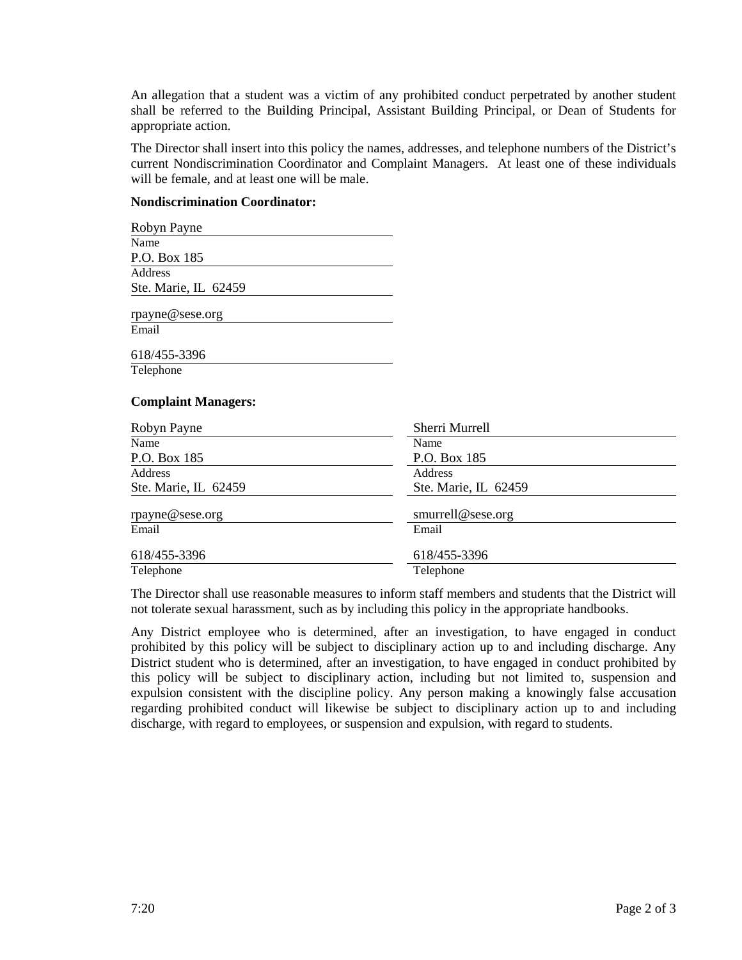An allegation that a student was a victim of any prohibited conduct perpetrated by another student shall be referred to the Building Principal, Assistant Building Principal, or Dean of Students for appropriate action.

The Director shall insert into this policy the names, addresses, and telephone numbers of the District's current Nondiscrimination Coordinator and Complaint Managers. At least one of these individuals will be female, and at least one will be male.

#### **Nondiscrimination Coordinator:**

| Robyn Payne                |                      |
|----------------------------|----------------------|
| Name                       |                      |
| P.O. Box 185               |                      |
| Address                    |                      |
| Ste. Marie, IL 62459       |                      |
| rpayne@sese.org            |                      |
| Email                      |                      |
| 618/455-3396               |                      |
| Telephone                  |                      |
| <b>Complaint Managers:</b> |                      |
| Robyn Payne                | Sherri Murrell       |
| Name                       | Name                 |
| P.O. Box 185               | P.O. Box 185         |
| Address                    | Address              |
| Ste. Marie, IL 62459       | Ste. Marie, IL 62459 |
| rpayne@sese.org            | smurrell@sese.org    |
| Email                      | Email                |
|                            |                      |
| 618/455-3396               | 618/455-3396         |

The Director shall use reasonable measures to inform staff members and students that the District will not tolerate sexual harassment, such as by including this policy in the appropriate handbooks.

Any District employee who is determined, after an investigation, to have engaged in conduct prohibited by this policy will be subject to disciplinary action up to and including discharge. Any District student who is determined, after an investigation, to have engaged in conduct prohibited by this policy will be subject to disciplinary action, including but not limited to, suspension and expulsion consistent with the discipline policy. Any person making a knowingly false accusation regarding prohibited conduct will likewise be subject to disciplinary action up to and including discharge, with regard to employees, or suspension and expulsion, with regard to students.